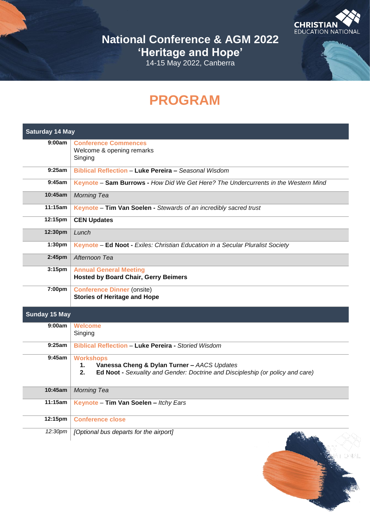**CHRISTIAN CHRISTIAN** 

**National Conference & AGM 2022 'Heritage and Hope'** 14-15 May 2022, Canberra

# **PROGRAM**

| <b>Saturday 14 May</b> |                                                                                                                                                               |
|------------------------|---------------------------------------------------------------------------------------------------------------------------------------------------------------|
| 9:00am                 | <b>Conference Commences</b><br>Welcome & opening remarks<br>Singing                                                                                           |
| 9:25am                 | Biblical Reflection - Luke Pereira - Seasonal Wisdom                                                                                                          |
| 9:45am                 | Keynote - Sam Burrows - How Did We Get Here? The Undercurrents in the Western Mind                                                                            |
| 10:45am                | <b>Morning Tea</b>                                                                                                                                            |
| 11:15am                | Keynote - Tim Van Soelen - Stewards of an incredibly sacred trust                                                                                             |
| 12:15pm                | <b>CEN Updates</b>                                                                                                                                            |
| 12:30pm                | Lunch                                                                                                                                                         |
| 1:30 <sub>pm</sub>     | Keynote - Ed Noot - Exiles: Christian Education in a Secular Pluralist Society                                                                                |
| 2:45 <sub>pm</sub>     | Afternoon Tea                                                                                                                                                 |
| 3:15 <sub>pm</sub>     | <b>Annual General Meeting</b><br><b>Hosted by Board Chair, Gerry Beimers</b>                                                                                  |
| 7:00pm                 | <b>Conference Dinner (onsite)</b><br><b>Stories of Heritage and Hope</b>                                                                                      |
| <b>Sunday 15 May</b>   |                                                                                                                                                               |
| 9:00am                 | <b>Welcome</b><br>Singing                                                                                                                                     |
| 9:25am                 | <b>Biblical Reflection - Luke Pereira - Storied Wisdom</b>                                                                                                    |
| 9:45am                 | <b>Workshops</b><br>Vanessa Cheng & Dylan Turner - AACS Updates<br>1.<br>Ed Noot - Sexuality and Gender: Doctrine and Discipleship (or policy and care)<br>2. |
| 10:45am                | <b>Morning Tea</b>                                                                                                                                            |
| 11:15am                | Keynote - Tim Van Soelen - Itchy Ears                                                                                                                         |
| 12:15pm                | <b>Conference close</b>                                                                                                                                       |
| 12:30pm                | [Optional bus departs for the airport]                                                                                                                        |